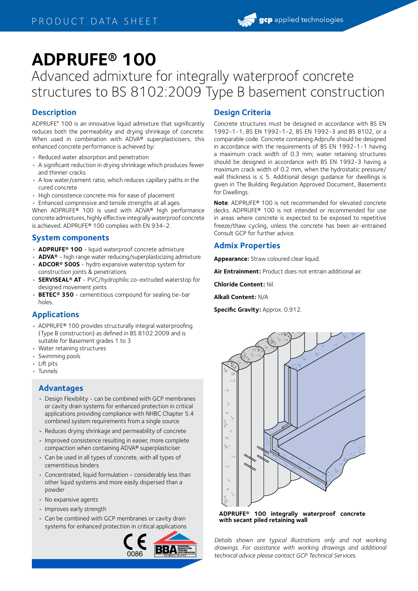# **ADPRUFE® 100**

Advanced admixture for integrally waterproof concrete structures to BS 8102:2009 Type B basement construction

## **Description**

ADPRUFE® 100 is an innovative liquid admixture that significantly reduces both the permeability and drying shrinkage of concrete. When used in combination with ADVA® superplasticisers, this enhanced concrete performance is achieved by:

- Reduced water absorption and penetration
- A significant reduction in drying shrinkage which produces fewer and thinner cracks
- A low water/cement ratio, which reduces capillary paths in the cured concrete
- High consistence concrete mix for ease of placement

• Enhanced compressive and tensile strengths at all ages. When ADPRUFE® 100 is used with ADVA® high performance concrete admixtures, highly effective integrally waterproof concrete is achieved. ADPRUFE® 100 complies with EN 934-2.

## **System components**

- **ADPRUFE® 100** liquid waterproof concrete admixture
- **ADVA®** high range water reducing/superplasticizing admixture. • **ADCOR® 500S** - hydro expansive waterstop system for
- construction joints & penetrations • **SERVISEAL® AT** - PVC/hydrophilic co-extruded waterstop for
- designed movement joints
- **BETEC® 350** cementitious compound for sealing tie-bar holes.

# **Applications**

- ADPRUFE® 100 provides structurally integral waterproofing (Type B construction) as defined in BS 8102:2009 and is suitable for Basement grades 1 to 3
- Water retaining structures
- Swimming pools
- Lift pits
- Tunnels

#### **Advantages**

- Design Flexibility can be combined with GCP membranes or cavity drain systems for enhanced protection in critical applications providing compliance with NHBC Chapter 5.4 combined system requirements from a single source
- Reduces drying shrinkage and permeability of concrete
- Improved consistence resulting in easier, more complete compaction when containing ADVA® superplasticiser
- Can be used in all types of concrete, with all types of cementitious binders
- Concentrated, liquid formulation considerably less than other liquid systems and more easily dispersed than a powder
- No expansive agents
- Improves early strength
- Can be combined with GCP membranes or cavity drain systems for enhanced protection in critical applications



## **Design Criteria**

Concrete structures must be designed in accordance with BS EN 1992-1-1, BS EN 1992-1-2, BS EN 1992-3 and BS 8102, or a comparable code. Concrete containing Adprufe should be designed in accordance with the requirements of BS EN 1992-1-1 having a maximum crack width of 0.3 mm; water retaining structures should be designed in accordance with BS EN 1992-3 having a maximum crack width of 0.2 mm, when the hydrostatic pressure/ wall thickness is  $\leq$  5. Additional design quidance for dwellings is given in The Building Regulation Approved Document, Basements for Dwellings.

**Note**: ADPRUFE® 100 is not recommended for elevated concrete decks. ADPRUFE® 100 is not intended or recommended for use in areas where concrete is expected to be exposed to repetitive freeze/thaw cycling, unless the concrete has been air-entrained Consult GCP for further advice.

## **Admix Properties**

**Appearance:** Straw coloured clear liquid.

**Air Entrainment:** Product does not entrain additional air.

**Chloride Content:** Nil.

**Alkali Content:** N/A

**Specific Gravity:** Approx. 0.912.



**ADPRUFE® 100 integrally waterproof concrete with secant piled retaining wall**

*Details shown are typical illustrations only and not working drawings. For assistance with working drawings and additional technical advice please contact GCP Technical Services.*